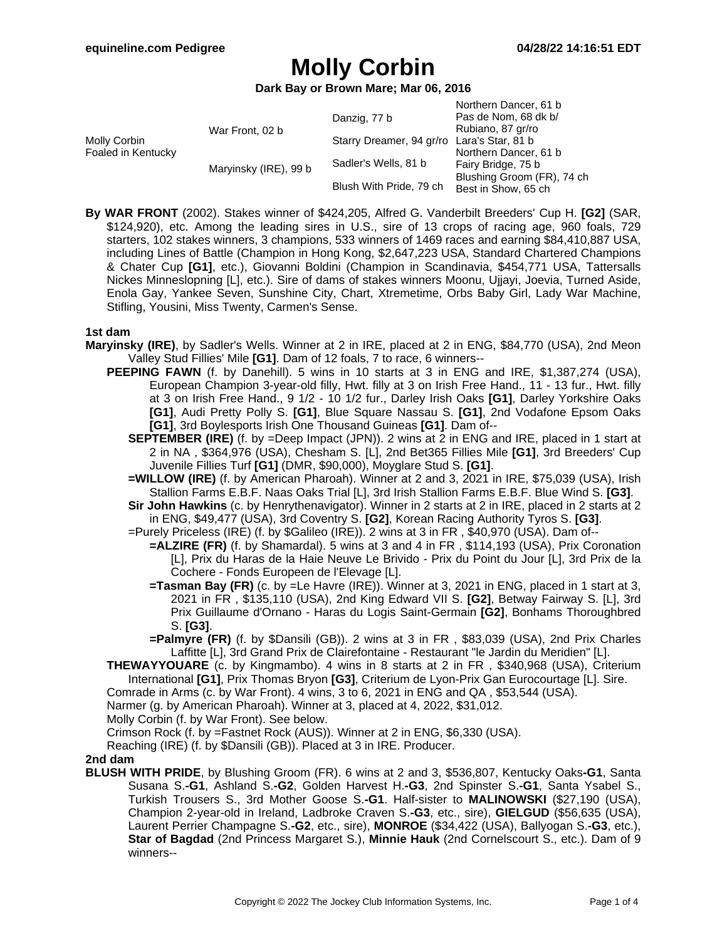Northern Dancer, 61 b

# **Molly Corbin**

**Dark Bay or Brown Mare; Mar 06, 2016**

|                                    |                       |                                            | NOITTIEITI DANCEI, OT D    |
|------------------------------------|-----------------------|--------------------------------------------|----------------------------|
| Molly Corbin<br>Foaled in Kentucky | War Front, 02 b       | Danzig, 77 b                               | Pas de Nom, 68 dk b/       |
|                                    |                       |                                            | Rubiano, 87 gr/ro          |
|                                    |                       | Starry Dreamer, 94 gr/ro Lara's Star, 81 b |                            |
|                                    | Maryinsky (IRE), 99 b | Sadler's Wells, 81 b                       | Northern Dancer, 61 b      |
|                                    |                       |                                            | Fairy Bridge, 75 b         |
|                                    |                       | Blush With Pride, 79 ch                    | Blushing Groom (FR), 74 ch |
|                                    |                       |                                            | Best in Show, 65 ch        |
|                                    |                       |                                            |                            |

**By WAR FRONT** (2002). Stakes winner of \$424,205, Alfred G. Vanderbilt Breeders' Cup H. **[G2]** (SAR, \$124,920), etc. Among the leading sires in U.S., sire of 13 crops of racing age, 960 foals, 729 starters, 102 stakes winners, 3 champions, 533 winners of 1469 races and earning \$84,410,887 USA, including Lines of Battle (Champion in Hong Kong, \$2,647,223 USA, Standard Chartered Champions & Chater Cup **[G1]**, etc.), Giovanni Boldini (Champion in Scandinavia, \$454,771 USA, Tattersalls Nickes Minneslopning [L], etc.). Sire of dams of stakes winners Moonu, Ujjayi, Joevia, Turned Aside, Enola Gay, Yankee Seven, Sunshine City, Chart, Xtremetime, Orbs Baby Girl, Lady War Machine, Stifling, Yousini, Miss Twenty, Carmen's Sense.

#### **1st dam**

- **Maryinsky (IRE)**, by Sadler's Wells. Winner at 2 in IRE, placed at 2 in ENG, \$84,770 (USA), 2nd Meon Valley Stud Fillies' Mile **[G1]**. Dam of 12 foals, 7 to race, 6 winners--
	- **PEEPING FAWN** (f. by Danehill). 5 wins in 10 starts at 3 in ENG and IRE, \$1,387,274 (USA), European Champion 3-year-old filly, Hwt. filly at 3 on Irish Free Hand., 11 - 13 fur., Hwt. filly at 3 on Irish Free Hand., 9 1/2 - 10 1/2 fur., Darley Irish Oaks **[G1]**, Darley Yorkshire Oaks **[G1]**, Audi Pretty Polly S. **[G1]**, Blue Square Nassau S. **[G1]**, 2nd Vodafone Epsom Oaks **[G1]**, 3rd Boylesports Irish One Thousand Guineas **[G1]**. Dam of--
		- **SEPTEMBER (IRE)** (f. by =Deep Impact (JPN)). 2 wins at 2 in ENG and IRE, placed in 1 start at 2 in NA , \$364,976 (USA), Chesham S. [L], 2nd Bet365 Fillies Mile **[G1]**, 3rd Breeders' Cup Juvenile Fillies Turf **[G1]** (DMR, \$90,000), Moyglare Stud S. **[G1]**.
		- **=WILLOW (IRE)** (f. by American Pharoah). Winner at 2 and 3, 2021 in IRE, \$75,039 (USA), Irish Stallion Farms E.B.F. Naas Oaks Trial [L], 3rd Irish Stallion Farms E.B.F. Blue Wind S. **[G3]**.
		- **Sir John Hawkins** (c. by Henrythenavigator). Winner in 2 starts at 2 in IRE, placed in 2 starts at 2 in ENG, \$49,477 (USA), 3rd Coventry S. **[G2]**, Korean Racing Authority Tyros S. **[G3]**.
		- =Purely Priceless (IRE) (f. by \$Galileo (IRE)). 2 wins at 3 in FR , \$40,970 (USA). Dam of--
			- **=ALZIRE (FR)** (f. by Shamardal). 5 wins at 3 and 4 in FR , \$114,193 (USA), Prix Coronation [L], Prix du Haras de la Haie Neuve Le Brivido - Prix du Point du Jour [L], 3rd Prix de la Cochere - Fonds Europeen de l'Elevage [L].
			- **=Tasman Bay (FR)** (c. by =Le Havre (IRE)). Winner at 3, 2021 in ENG, placed in 1 start at 3, 2021 in FR , \$135,110 (USA), 2nd King Edward VII S. **[G2]**, Betway Fairway S. [L], 3rd Prix Guillaume d'Ornano - Haras du Logis Saint-Germain **[G2]**, Bonhams Thoroughbred S. **[G3]**.
			- **=Palmyre (FR)** (f. by \$Dansili (GB)). 2 wins at 3 in FR , \$83,039 (USA), 2nd Prix Charles Laffitte [L], 3rd Grand Prix de Clairefontaine - Restaurant "le Jardin du Meridien" [L].
	- **THEWAYYOUARE** (c. by Kingmambo). 4 wins in 8 starts at 2 in FR , \$340,968 (USA), Criterium International **[G1]**, Prix Thomas Bryon **[G3]**, Criterium de Lyon-Prix Gan Eurocourtage [L]. Sire.
	- Comrade in Arms (c. by War Front). 4 wins, 3 to 6, 2021 in ENG and QA , \$53,544 (USA).

Narmer (g. by American Pharoah). Winner at 3, placed at 4, 2022, \$31,012.

Molly Corbin (f. by War Front). See below.

Crimson Rock (f. by =Fastnet Rock (AUS)). Winner at 2 in ENG, \$6,330 (USA).

Reaching (IRE) (f. by \$Dansili (GB)). Placed at 3 in IRE. Producer.

#### **2nd dam**

**BLUSH WITH PRIDE**, by Blushing Groom (FR). 6 wins at 2 and 3, \$536,807, Kentucky Oaks**-G1**, Santa Susana S.**-G1**, Ashland S.**-G2**, Golden Harvest H.**-G3**, 2nd Spinster S.**-G1**, Santa Ysabel S., Turkish Trousers S., 3rd Mother Goose S.**-G1**. Half-sister to **MALINOWSKI** (\$27,190 (USA), Champion 2-year-old in Ireland, Ladbroke Craven S.**-G3**, etc., sire), **GIELGUD** (\$56,635 (USA), Laurent Perrier Champagne S.**-G2**, etc., sire), **MONROE** (\$34,422 (USA), Ballyogan S.**-G3**, etc.), **Star of Bagdad** (2nd Princess Margaret S.), **Minnie Hauk** (2nd Cornelscourt S., etc.). Dam of 9 winners--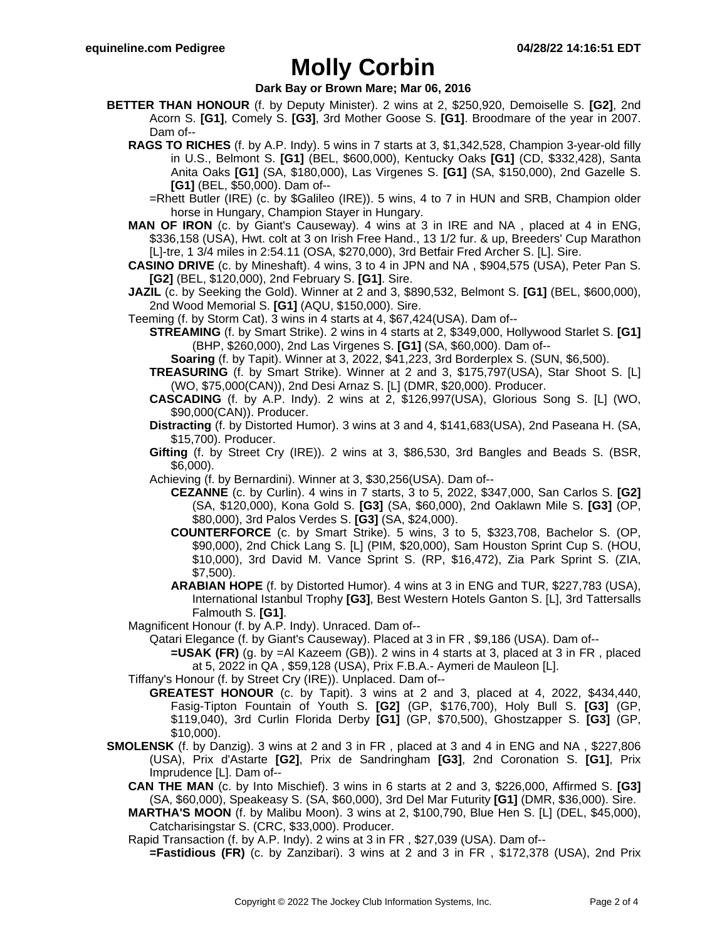## **Molly Corbin**

### **Dark Bay or Brown Mare; Mar 06, 2016**

- **BETTER THAN HONOUR** (f. by Deputy Minister). 2 wins at 2, \$250,920, Demoiselle S. **[G2]**, 2nd Acorn S. **[G1]**, Comely S. **[G3]**, 3rd Mother Goose S. **[G1]**. Broodmare of the year in 2007. Dam of--
	- **RAGS TO RICHES** (f. by A.P. Indy). 5 wins in 7 starts at 3, \$1,342,528, Champion 3-year-old filly in U.S., Belmont S. **[G1]** (BEL, \$600,000), Kentucky Oaks **[G1]** (CD, \$332,428), Santa Anita Oaks **[G1]** (SA, \$180,000), Las Virgenes S. **[G1]** (SA, \$150,000), 2nd Gazelle S. **[G1]** (BEL, \$50,000). Dam of--
		- =Rhett Butler (IRE) (c. by \$Galileo (IRE)). 5 wins, 4 to 7 in HUN and SRB, Champion older horse in Hungary, Champion Stayer in Hungary.
	- **MAN OF IRON** (c. by Giant's Causeway). 4 wins at 3 in IRE and NA , placed at 4 in ENG, \$336,158 (USA), Hwt. colt at 3 on Irish Free Hand., 13 1/2 fur. & up, Breeders' Cup Marathon [L]-tre, 1 3/4 miles in 2:54.11 (OSA, \$270,000), 3rd Betfair Fred Archer S. [L]. Sire.
	- **CASINO DRIVE** (c. by Mineshaft). 4 wins, 3 to 4 in JPN and NA , \$904,575 (USA), Peter Pan S. **[G2]** (BEL, \$120,000), 2nd February S. **[G1]**. Sire.
	- **JAZIL** (c. by Seeking the Gold). Winner at 2 and 3, \$890,532, Belmont S. **[G1]** (BEL, \$600,000), 2nd Wood Memorial S. **[G1]** (AQU, \$150,000). Sire.
	- Teeming (f. by Storm Cat). 3 wins in 4 starts at 4, \$67,424(USA). Dam of--
		- **STREAMING** (f. by Smart Strike). 2 wins in 4 starts at 2, \$349,000, Hollywood Starlet S. **[G1]** (BHP, \$260,000), 2nd Las Virgenes S. **[G1]** (SA, \$60,000). Dam of--
			- **Soaring** (f. by Tapit). Winner at 3, 2022, \$41,223, 3rd Borderplex S. (SUN, \$6,500).
		- **TREASURING** (f. by Smart Strike). Winner at 2 and 3, \$175,797(USA), Star Shoot S. [L] (WO, \$75,000(CAN)), 2nd Desi Arnaz S. [L] (DMR, \$20,000). Producer.
		- **CASCADING** (f. by A.P. Indy). 2 wins at 2, \$126,997(USA), Glorious Song S. [L] (WO, \$90,000(CAN)). Producer.
		- **Distracting** (f. by Distorted Humor). 3 wins at 3 and 4, \$141,683(USA), 2nd Paseana H. (SA, \$15,700). Producer.
		- **Gifting** (f. by Street Cry (IRE)). 2 wins at 3, \$86,530, 3rd Bangles and Beads S. (BSR, \$6,000).
		- Achieving (f. by Bernardini). Winner at 3, \$30,256(USA). Dam of--
			- **CEZANNE** (c. by Curlin). 4 wins in 7 starts, 3 to 5, 2022, \$347,000, San Carlos S. **[G2]** (SA, \$120,000), Kona Gold S. **[G3]** (SA, \$60,000), 2nd Oaklawn Mile S. **[G3]** (OP, \$80,000), 3rd Palos Verdes S. **[G3]** (SA, \$24,000).
			- **COUNTERFORCE** (c. by Smart Strike). 5 wins, 3 to 5, \$323,708, Bachelor S. (OP, \$90,000), 2nd Chick Lang S. [L] (PIM, \$20,000), Sam Houston Sprint Cup S. (HOU, \$10,000), 3rd David M. Vance Sprint S. (RP, \$16,472), Zia Park Sprint S. (ZIA, \$7,500).
			- **ARABIAN HOPE** (f. by Distorted Humor). 4 wins at 3 in ENG and TUR, \$227,783 (USA), International Istanbul Trophy **[G3]**, Best Western Hotels Ganton S. [L], 3rd Tattersalls Falmouth S. **[G1]**.
	- Magnificent Honour (f. by A.P. Indy). Unraced. Dam of--

Qatari Elegance (f. by Giant's Causeway). Placed at 3 in FR , \$9,186 (USA). Dam of--

- **=USAK (FR)** (g. by =Al Kazeem (GB)). 2 wins in 4 starts at 3, placed at 3 in FR , placed at 5, 2022 in QA , \$59,128 (USA), Prix F.B.A.- Aymeri de Mauleon [L].
- Tiffany's Honour (f. by Street Cry (IRE)). Unplaced. Dam of--
- **GREATEST HONOUR** (c. by Tapit). 3 wins at 2 and 3, placed at 4, 2022, \$434,440, Fasig-Tipton Fountain of Youth S. **[G2]** (GP, \$176,700), Holy Bull S. **[G3]** (GP, \$119,040), 3rd Curlin Florida Derby **[G1]** (GP, \$70,500), Ghostzapper S. **[G3]** (GP, \$10,000).
- **SMOLENSK** (f. by Danzig). 3 wins at 2 and 3 in FR , placed at 3 and 4 in ENG and NA , \$227,806 (USA), Prix d'Astarte **[G2]**, Prix de Sandringham **[G3]**, 2nd Coronation S. **[G1]**, Prix Imprudence [L]. Dam of--
	- **CAN THE MAN** (c. by Into Mischief). 3 wins in 6 starts at 2 and 3, \$226,000, Affirmed S. **[G3]** (SA, \$60,000), Speakeasy S. (SA, \$60,000), 3rd Del Mar Futurity **[G1]** (DMR, \$36,000). Sire.
	- **MARTHA'S MOON** (f. by Malibu Moon). 3 wins at 2, \$100,790, Blue Hen S. [L] (DEL, \$45,000), Catcharisingstar S. (CRC, \$33,000). Producer.
	- Rapid Transaction (f. by A.P. Indy). 2 wins at 3 in FR , \$27,039 (USA). Dam of--
		- **=Fastidious (FR)** (c. by Zanzibari). 3 wins at 2 and 3 in FR , \$172,378 (USA), 2nd Prix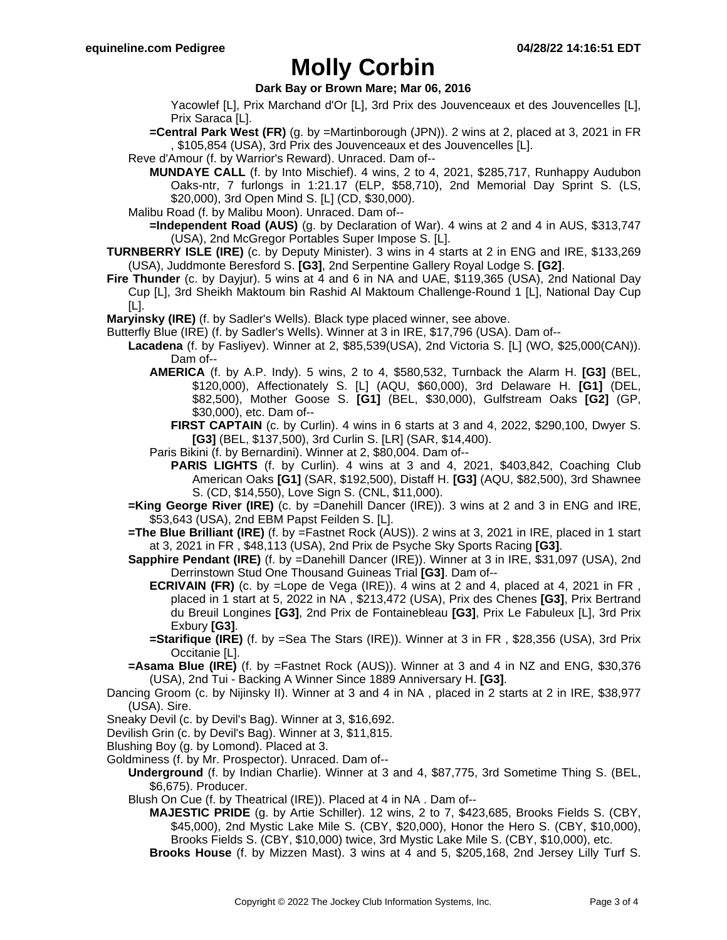## **Molly Corbin**

### **Dark Bay or Brown Mare; Mar 06, 2016**

Yacowlef [L], Prix Marchand d'Or [L], 3rd Prix des Jouvenceaux et des Jouvencelles [L], Prix Saraca [L].

**=Central Park West (FR)** (g. by =Martinborough (JPN)). 2 wins at 2, placed at 3, 2021 in FR , \$105,854 (USA), 3rd Prix des Jouvenceaux et des Jouvencelles [L].

Reve d'Amour (f. by Warrior's Reward). Unraced. Dam of--

**MUNDAYE CALL** (f. by Into Mischief). 4 wins, 2 to 4, 2021, \$285,717, Runhappy Audubon Oaks-ntr, 7 furlongs in 1:21.17 (ELP, \$58,710), 2nd Memorial Day Sprint S. (LS, \$20,000), 3rd Open Mind S. [L] (CD, \$30,000).

Malibu Road (f. by Malibu Moon). Unraced. Dam of--

**=Independent Road (AUS)** (g. by Declaration of War). 4 wins at 2 and 4 in AUS, \$313,747 (USA), 2nd McGregor Portables Super Impose S. [L].

- **TURNBERRY ISLE (IRE)** (c. by Deputy Minister). 3 wins in 4 starts at 2 in ENG and IRE, \$133,269 (USA), Juddmonte Beresford S. **[G3]**, 2nd Serpentine Gallery Royal Lodge S. **[G2]**.
- **Fire Thunder** (c. by Dayjur). 5 wins at 4 and 6 in NA and UAE, \$119,365 (USA), 2nd National Day Cup [L], 3rd Sheikh Maktoum bin Rashid Al Maktoum Challenge-Round 1 [L], National Day Cup [L].

**Maryinsky (IRE)** (f. by Sadler's Wells). Black type placed winner, see above.

Butterfly Blue (IRE) (f. by Sadler's Wells). Winner at 3 in IRE, \$17,796 (USA). Dam of--

- **Lacadena** (f. by Fasliyev). Winner at 2, \$85,539(USA), 2nd Victoria S. [L] (WO, \$25,000(CAN)). Dam of--
	- **AMERICA** (f. by A.P. Indy). 5 wins, 2 to 4, \$580,532, Turnback the Alarm H. **[G3]** (BEL, \$120,000), Affectionately S. [L] (AQU, \$60,000), 3rd Delaware H. **[G1]** (DEL, \$82,500), Mother Goose S. **[G1]** (BEL, \$30,000), Gulfstream Oaks **[G2]** (GP, \$30,000), etc. Dam of--
		- **FIRST CAPTAIN** (c. by Curlin). 4 wins in 6 starts at 3 and 4, 2022, \$290,100, Dwyer S. **[G3]** (BEL, \$137,500), 3rd Curlin S. [LR] (SAR, \$14,400).
	- Paris Bikini (f. by Bernardini). Winner at 2, \$80,004. Dam of--
		- **PARIS LIGHTS** (f. by Curlin). 4 wins at 3 and 4, 2021, \$403,842, Coaching Club American Oaks **[G1]** (SAR, \$192,500), Distaff H. **[G3]** (AQU, \$82,500), 3rd Shawnee S. (CD, \$14,550), Love Sign S. (CNL, \$11,000).
- **=King George River (IRE)** (c. by =Danehill Dancer (IRE)). 3 wins at 2 and 3 in ENG and IRE, \$53,643 (USA), 2nd EBM Papst Feilden S. [L].
- **=The Blue Brilliant (IRE)** (f. by =Fastnet Rock (AUS)). 2 wins at 3, 2021 in IRE, placed in 1 start at 3, 2021 in FR , \$48,113 (USA), 2nd Prix de Psyche Sky Sports Racing **[G3]**.
- **Sapphire Pendant (IRE)** (f. by =Danehill Dancer (IRE)). Winner at 3 in IRE, \$31,097 (USA), 2nd Derrinstown Stud One Thousand Guineas Trial **[G3]**. Dam of--
	- **ECRIVAIN (FR)** (c. by =Lope de Vega (IRE)). 4 wins at 2 and 4, placed at 4, 2021 in FR, placed in 1 start at 5, 2022 in NA , \$213,472 (USA), Prix des Chenes **[G3]**, Prix Bertrand du Breuil Longines **[G3]**, 2nd Prix de Fontainebleau **[G3]**, Prix Le Fabuleux [L], 3rd Prix Exbury **[G3]**.
	- **=Starifique (IRE)** (f. by =Sea The Stars (IRE)). Winner at 3 in FR , \$28,356 (USA), 3rd Prix Occitanie [L].
- **=Asama Blue (IRE)** (f. by =Fastnet Rock (AUS)). Winner at 3 and 4 in NZ and ENG, \$30,376 (USA), 2nd Tui - Backing A Winner Since 1889 Anniversary H. **[G3]**.
- Dancing Groom (c. by Nijinsky II). Winner at 3 and 4 in NA , placed in 2 starts at 2 in IRE, \$38,977 (USA). Sire.
- Sneaky Devil (c. by Devil's Bag). Winner at 3, \$16,692.
- Devilish Grin (c. by Devil's Bag). Winner at 3, \$11,815.
- Blushing Boy (g. by Lomond). Placed at 3.
- Goldminess (f. by Mr. Prospector). Unraced. Dam of--
	- **Underground** (f. by Indian Charlie). Winner at 3 and 4, \$87,775, 3rd Sometime Thing S. (BEL, \$6,675). Producer.
	- Blush On Cue (f. by Theatrical (IRE)). Placed at 4 in NA . Dam of--
		- **MAJESTIC PRIDE** (g. by Artie Schiller). 12 wins, 2 to 7, \$423,685, Brooks Fields S. (CBY, \$45,000), 2nd Mystic Lake Mile S. (CBY, \$20,000), Honor the Hero S. (CBY, \$10,000), Brooks Fields S. (CBY, \$10,000) twice, 3rd Mystic Lake Mile S. (CBY, \$10,000), etc.

**Brooks House** (f. by Mizzen Mast). 3 wins at 4 and 5, \$205,168, 2nd Jersey Lilly Turf S.